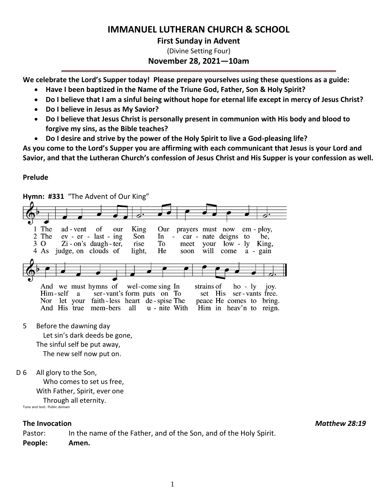# **IMMANUEL LUTHERAN CHURCH & SCHOOL**

## **First Sunday in Advent**

(Divine Setting Four)

**November 28, 2021—10am**

**We celebrate the Lord's Supper today! Please prepare yourselves using these questions as a guide:**

- **Have I been baptized in the Name of the Triune God, Father, Son & Holy Spirit?**
- **Do I believe that I am a sinful being without hope for eternal life except in mercy of Jesus Christ?**
- **Do I believe in Jesus as My Savior?**
- **Do I believe that Jesus Christ is personally present in communion with His body and blood to forgive my sins, as the Bible teaches?**
- **Do I desire and strive by the power of the Holy Spirit to live a God-pleasing life?**

**As you come to the Lord's Supper you are affirming with each communicant that Jesus is your Lord and Savior, and that the Lutheran Church's confession of Jesus Christ and His Supper is your confession as well.**

## **Prelude**

**Hymn: #331** "The Advent of Our King" 1 The of ad - vent our King Our prayers must now  $em$  -  $plov$ , 2 The  $ev - er - last - ing$ Son  $In$ car - nate deigns to be.  $Zi$  - on's daugh - ter,  $low - ly$ 3 O rise To meet your King, 4 As judge, on clouds of light, He will come soon a - gain And we must hymns of wel-come sing In strains of  $ho - ly$ joy. Him-self ser-vant's form puts on To ser - vants free. a set His Nor let your faith-less heart de-spise The peace He comes to bring. And His true mem-bers u - nite With Him in heav'n to reign. all 5 Before the dawning day Let sin's dark deeds be gone, The sinful self be put away, The new self now put on.

D 6 All glory to the Son, Who comes to set us free, With Father, Spirit, ever one Through all eternity. Tune and text: Public domain

Pastor: In the name of the Father, and of the Son, and of the Holy Spirit. **People: Amen.**

**The Invocation** *Matthew 28:19*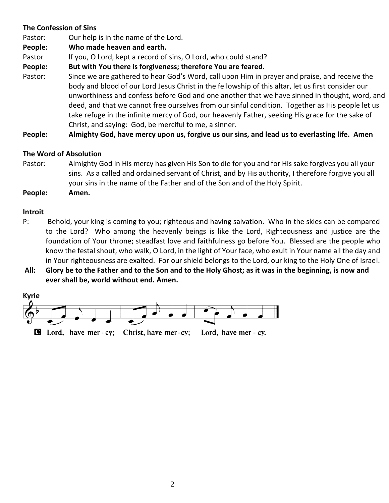## **The Confession of Sins**

Pastor: Our help is in the name of the Lord.

**People: Who made heaven and earth.**

Pastor If you, O Lord, kept a record of sins, O Lord, who could stand?

**People: But with You there is forgiveness; therefore You are feared.**

Pastor: Since we are gathered to hear God's Word, call upon Him in prayer and praise, and receive the body and blood of our Lord Jesus Christ in the fellowship of this altar, let us first consider our unworthiness and confess before God and one another that we have sinned in thought, word, and deed, and that we cannot free ourselves from our sinful condition. Together as His people let us take refuge in the infinite mercy of God, our heavenly Father, seeking His grace for the sake of Christ, and saying: God, be merciful to me, a sinner.

**People: Almighty God, have mercy upon us, forgive us our sins, and lead us to everlasting life. Amen**

## **The Word of Absolution**

- Pastor: Almighty God in His mercy has given His Son to die for you and for His sake forgives you all your sins. As a called and ordained servant of Christ, and by His authority, I therefore forgive you all your sins in the name of the Father and of the Son and of the Holy Spirit.
- **People: Amen.**

#### **Introit**

- P: Behold, your king is coming to you; righteous and having salvation. Who in the skies can be compared to the Lord? Who among the heavenly beings is like the Lord, Righteousness and justice are the foundation of Your throne; steadfast love and faithfulness go before You. Blessed are the people who know the festal shout, who walk, O Lord, in the light of Your face, who exult in Your name all the day and in Your righteousness are exalted. For our shield belongs to the Lord, our king to the Holy One of Israel.
- **All: Glory be to the Father and to the Son and to the Holy Ghost; as it was in the beginning, is now and ever shall be, world without end. Amen.**

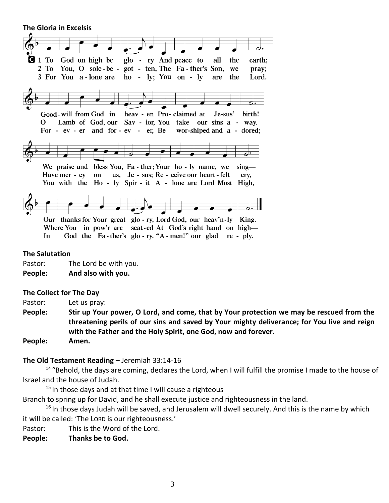**The Gloria in Excelsis** 



#### **The Salutation**

Pastor: The Lord be with you.

**People: And also with you.**

#### **The Collect for The Day**

Pastor: Let us pray:

**People: Stir up Your power, O Lord, and come, that by Your protection we may be rescued from the threatening perils of our sins and saved by Your mighty deliverance; for You live and reign with the Father and the Holy Spirit, one God, now and forever.** 

**People: Amen.**

#### **The Old Testament Reading –** Jeremiah 33:14-16

<sup>14</sup> "Behold, the days are coming, declares the Lord, when I will fulfill the promise I made to the house of Israel and the house of Judah.

 $15$  In those days and at that time I will cause a righteous

Branch to spring up for David, and he shall execute justice and righteousness in the land.

 $16$  In those days Judah will be saved, and Jerusalem will dwell securely. And this is the name by which it will be called: 'The LORD is our righteousness.'

Pastor: This is the Word of the Lord.

**People: Thanks be to God.**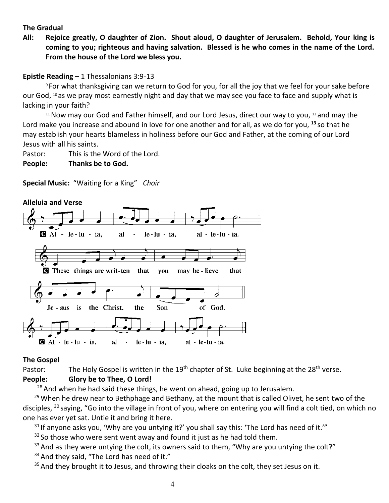#### **The Gradual**

**All: Rejoice greatly, O daughter of Zion. Shout aloud, O daughter of Jerusalem. Behold, Your king is coming to you; righteous and having salvation. Blessed is he who comes in the name of the Lord. From the house of the Lord we bless you.**

#### **Epistle Reading –** 1 Thessalonians 3:9-13

<sup>9</sup> For what thanksgiving can we return to God for you, for all the joy that we feel for your sake before our God, <sup>10</sup> as we pray most earnestly night and day that we may see you face to face and supply what is lacking in your faith?

 $11$  Now may our God and Father himself, and our Lord Jesus, direct our way to you,  $12$  and may the Lord make you increase and abound in love for one another and for all, as we do for you, **<sup>13</sup>** so that he may establish your hearts blameless in holiness before our God and Father, at the coming of our Lord Jesus with all his saints.

Pastor: This is the Word of the Lord.

**People: Thanks be to God.**

#### **Special Music:** "Waiting for a King" *Choir*



#### **The Gospel**

Pastor: The Holy Gospel is written in the 19<sup>th</sup> chapter of St. Luke beginning at the 28<sup>th</sup> verse.

## **People: Glory be to Thee, O Lord!**

 $28$  And when he had said these things, he went on ahead, going up to Jerusalem.

 $29$  When he drew near to Bethphage and Bethany, at the mount that is called Olivet, he sent two of the disciples, <sup>30</sup> saying, "Go into the village in front of you, where on entering you will find a colt tied, on which no one has ever yet sat. Untie it and bring it here.

 $31$  If anyone asks you, 'Why are you untying it?' you shall say this: 'The Lord has need of it.'"

 $32$  So those who were sent went away and found it just as he had told them.

 $33$  And as they were untying the colt, its owners said to them, "Why are you untying the colt?"

 $34$  And they said, "The Lord has need of it."

 $35$  And they brought it to Jesus, and throwing their cloaks on the colt, they set Jesus on it.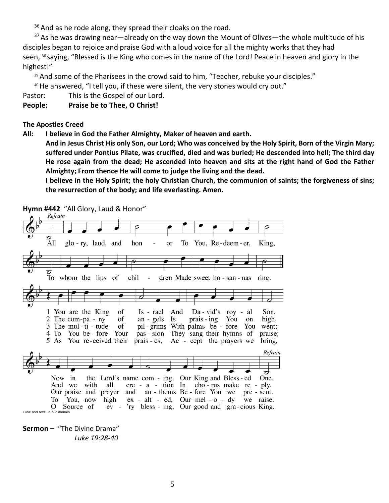$36$  And as he rode along, they spread their cloaks on the road.

 $37$  As he was drawing near—already on the way down the Mount of Olives—the whole multitude of his disciples began to rejoice and praise God with a loud voice for all the mighty works that they had seen, <sup>38</sup> saying, "Blessed is the King who comes in the name of the Lord! Peace in heaven and glory in the highest!"

<sup>39</sup> And some of the Pharisees in the crowd said to him, "Teacher, rebuke your disciples."

<sup>40</sup> He answered, "I tell you, if these were silent, the very stones would cry out."

Pastor: This is the Gospel of our Lord.

**People: Praise be to Thee, O Christ!**

#### **The Apostles Creed**

**All: I believe in God the Father Almighty, Maker of heaven and earth.** 

**And in Jesus Christ His only Son, our Lord; Who was conceived by the Holy Spirit, Born of the Virgin Mary; suffered under Pontius Pilate, was crucified, died and was buried; He descended into hell; The third day He rose again from the dead; He ascended into heaven and sits at the right hand of God the Father Almighty; From thence He will come to judge the living and the dead.**

**I believe in the Holy Spirit; the holy Christian Church, the communion of saints; the forgiveness of sins; the resurrection of the body; and life everlasting. Amen.**

**Hymn #442** "All Glory, Laud & Honor"



**Sermon –** "The Divine Drama"  *Luke 19:28-40*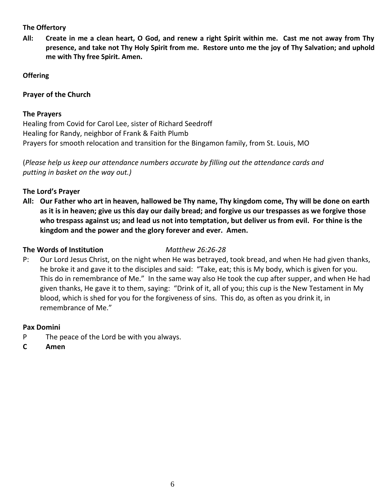#### **The Offertory**

**All: Create in me a clean heart, O God, and renew a right Spirit within me. Cast me not away from Thy presence, and take not Thy Holy Spirit from me. Restore unto me the joy of Thy Salvation; and uphold me with Thy free Spirit. Amen.**

## **Offering**

## **Prayer of the Church**

## **The Prayers**

Healing from Covid for Carol Lee, sister of Richard Seedroff Healing for Randy, neighbor of Frank & Faith Plumb Prayers for smooth relocation and transition for the Bingamon family, from St. Louis, MO

(*Please help us keep our attendance numbers accurate by filling out the attendance cards and putting in basket on the way out.)*

## **The Lord's Prayer**

**All: Our Father who art in heaven, hallowed be Thy name, Thy kingdom come, Thy will be done on earth as it is in heaven; give us this day our daily bread; and forgive us our trespasses as we forgive those who trespass against us; and lead us not into temptation, but deliver us from evil. For thine is the kingdom and the power and the glory forever and ever. Amen.**

#### **The Words of Institution** *Matthew 26:26-28*

P: Our Lord Jesus Christ, on the night when He was betrayed, took bread, and when He had given thanks, he broke it and gave it to the disciples and said: "Take, eat; this is My body, which is given for you. This do in remembrance of Me." In the same way also He took the cup after supper, and when He had given thanks, He gave it to them, saying: "Drink of it, all of you; this cup is the New Testament in My blood, which is shed for you for the forgiveness of sins. This do, as often as you drink it, in remembrance of Me."

#### **Pax Domini**

- P The peace of the Lord be with you always.
- **C Amen**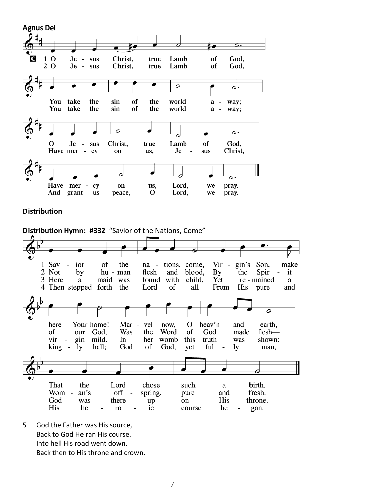





5 God the Father was His source, Back to God He ran His course. Into hell His road went down, Back then to His throne and crown.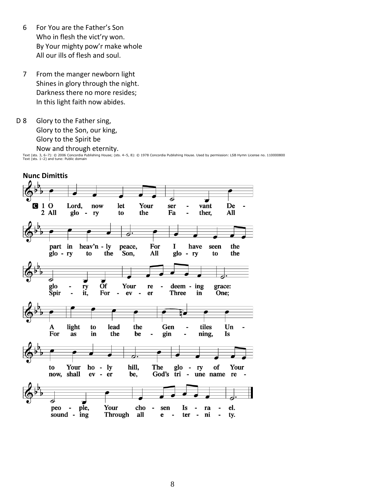- 6 For You are the Father's Son Who in flesh the vict'ry won. By Your mighty pow'r make whole All our ills of flesh and soul.
- 7 From the manger newborn light Shines in glory through the night. Darkness there no more resides; In this light faith now abides.
- D 8 Glory to the Father sing, Glory to the Son, our king, Glory to the Spirit be Now and through eternity.

Text (sts. 3, 6–7): © 2006 Concordia Publishing House; (sts. 4–5, 8): © 1978 Concordia Publishing House. Used by permission: LSB Hymn License no. 110000800<br>Text (sts. 1–2) and tune: Public domain

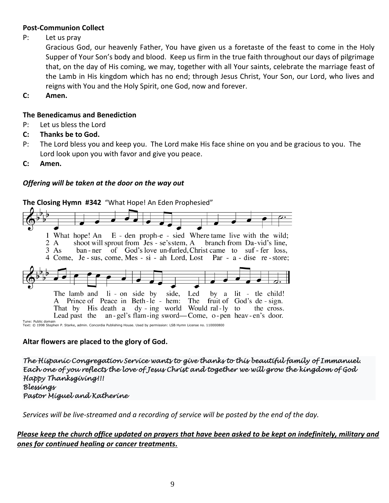#### **Post-Communion Collect**

P: Let us pray

Gracious God, our heavenly Father, You have given us a foretaste of the feast to come in the Holy Supper of Your Son's body and blood. Keep us firm in the true faith throughout our days of pilgrimage that, on the day of His coming, we may, together with all Your saints, celebrate the marriage feast of the Lamb in His kingdom which has no end; through Jesus Christ, Your Son, our Lord, who lives and reigns with You and the Holy Spirit, one God, now and forever.

**C: Amen.**

#### **The Benedicamus and Benediction**

- P: Let us bless the Lord
- **C: Thanks be to God.**
- P: The Lord bless you and keep you. The Lord make His face shine on you and be gracious to you. The Lord look upon you with favor and give you peace.
- **C: Amen.**

## *Offering will be taken at the door on the way out*



**Altar flowers are placed to the glory of God.**

*The Hispanic Congregation Service wants to give thanks to this beautiful family of Immanuel. Each one of you reflects the love of Jesus Christ and together we will grow the kingdom of God Happy Thanksgiving!!! Blessings Pastor Miguel and Katherine* 

*Services will be live-streamed and a recording of service will be posted by the end of the day.* 

#### *Please keep the church office updated on prayers that have been asked to be kept on indefinitely, military and ones for continued healing or cancer treatments.*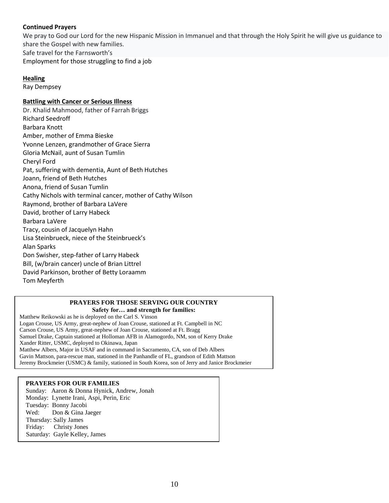#### **Continued Prayers**

We pray to God our Lord for the new Hispanic Mission in Immanuel and that through the Holy Spirit he will give us guidance to share the Gospel with new families. Safe travel for the Farnsworth's Employment for those struggling to find a job

#### **Healing**

Ray Dempsey

#### **Battling with Cancer or Serious Illness**

Dr. Khalid Mahmood, father of Farrah Briggs Richard Seedroff Barbara Knott Amber, mother of Emma Bieske Yvonne Lenzen, grandmother of Grace Sierra Gloria McNail, aunt of Susan Tumlin Cheryl Ford Pat, suffering with dementia, Aunt of Beth Hutches Joann, friend of Beth Hutches Anona, friend of Susan Tumlin Cathy Nichols with terminal cancer, mother of Cathy Wilson Raymond, brother of Barbara LaVere David, brother of Larry Habeck Barbara LaVere Tracy, cousin of Jacquelyn Hahn Lisa Steinbrueck, niece of the Steinbrueck's Alan Sparks Don Swisher, step-father of Larry Habeck Bill, (w/brain cancer) uncle of Brian Littrel David Parkinson, brother of Betty Loraamm Tom Meyferth

#### **PRAYERS FOR THOSE SERVING OUR COUNTRY Safety for… and strength for families:**

Matthew Reikowski as he is deployed on the Carl S. Vinson Logan Crouse, US Army, great-nephew of Joan Crouse, stationed at Ft. Campbell in NC Carson Crouse, US Army, great-nephew of Joan Crouse, stationed at Ft. Bragg Samuel Drake, Captain stationed at Holloman AFB in Alamogordo, NM, son of Kerry Drake Xander Ritter, USMC, deployed to Okinawa, Japan Matthew Albers, Major in USAF and in command in Sacramento, CA, son of Deb Albers Gavin Mattson, para-rescue man, stationed in the Panhandle of FL, grandson of Edith Mattson Jeremy Brockmeier (USMC) & family, stationed in South Korea, son of Jerry and Janice Brockmeier

#### **PRAYERS FOR OUR FAMILIES**

Sunday: Aaron & Donna Hynick, Andrew, Jonah Monday: Lynette Irani, Aspi, Perin, Eric Tuesday: Bonny Jacobi Wed: Don & Gina Jaeger Thursday: Sally James Friday: Christy Jones Saturday: Gayle Kelley, James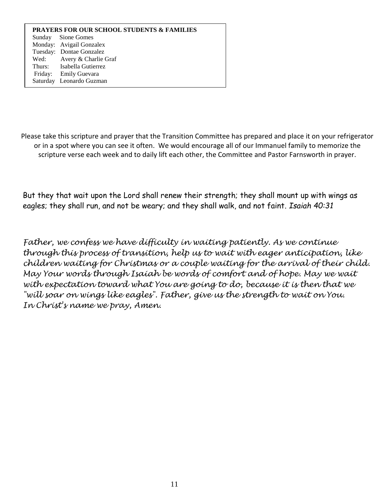#### **PRAYERS FOR OUR SCHOOL STUDENTS & FAMILIES** Sunday Sione Gomes Monday: Avigail Gonzalex Tuesday: Dontae Gonzalez Wed: Avery & Charlie Graf Thurs: Isabella Gutierrez Friday: Emily Guevara Saturday Leonardo Guzman

Please take this scripture and prayer that the Transition Committee has prepared and place it on your refrigerator or in a spot where you can see it often. We would encourage all of our Immanuel family to memorize the scripture verse each week and to daily lift each other, the Committee and Pastor Farnsworth in prayer.

But they that wait upon the Lord shall renew their strength; they shall mount up with wings as eagles; they shall run, and not be weary; and they shall walk, and not faint. *Isaiah 40:31*

*Father, we confess we have difficulty in waiting patiently. As we continue through this process of transition, help us to wait with eager anticipation, like children waiting for Christmas or a couple waiting for the arrival of their child. May Your words through Isaiah be words of comfort and of hope. May we wait with expectation toward what You are going to do, because it is then that we "will soar on wings like eagles". Father, give us the strength to wait on You. In Christ's name we pray, Amen.*